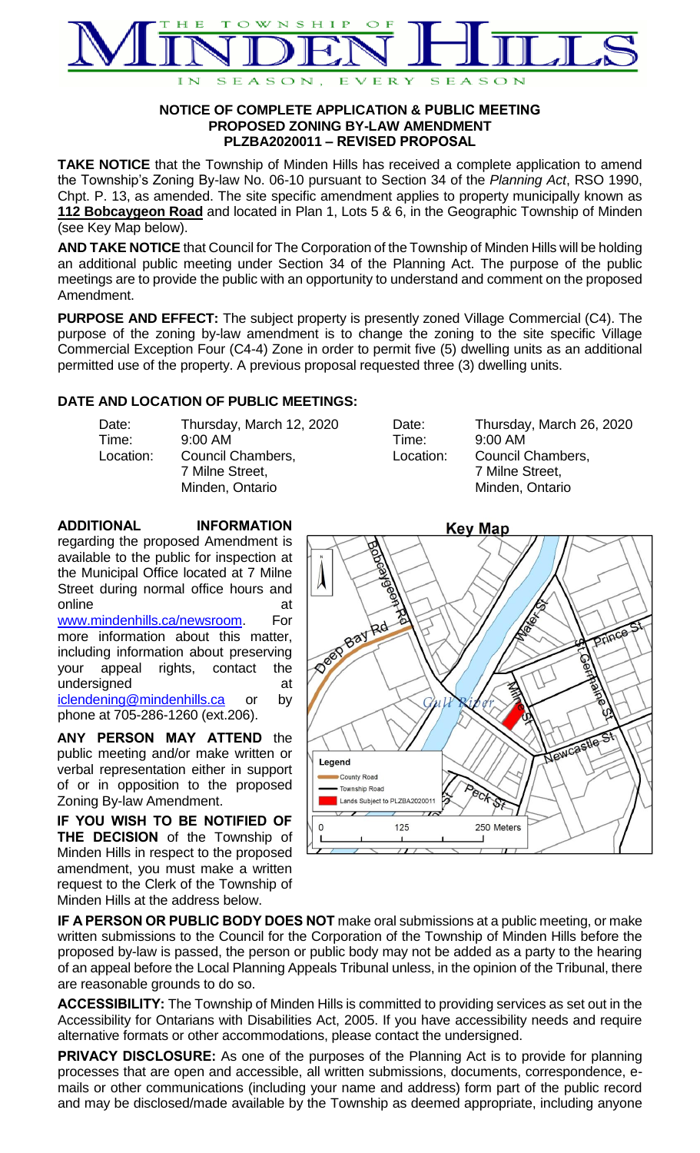

## **NOTICE OF COMPLETE APPLICATION & PUBLIC MEETING PROPOSED ZONING BY-LAW AMENDMENT PLZBA2020011 – REVISED PROPOSAL**

**TAKE NOTICE** that the Township of Minden Hills has received a complete application to amend the Township's Zoning By-law No. 06-10 pursuant to Section 34 of the *Planning Act*, RSO 1990, Chpt. P. 13, as amended. The site specific amendment applies to property municipally known as **112 Bobcaygeon Road** and located in Plan 1, Lots 5 & 6, in the Geographic Township of Minden (see Key Map below).

**AND TAKE NOTICE** that Council for The Corporation of the Township of Minden Hills will be holding an additional public meeting under Section 34 of the Planning Act. The purpose of the public meetings are to provide the public with an opportunity to understand and comment on the proposed Amendment.

**PURPOSE AND EFFECT:** The subject property is presently zoned Village Commercial (C4). The purpose of the zoning by-law amendment is to change the zoning to the site specific Village Commercial Exception Four (C4-4) Zone in order to permit five (5) dwelling units as an additional permitted use of the property. A previous proposal requested three (3) dwelling units.

## **DATE AND LOCATION OF PUBLIC MEETINGS:**

| Date:     | Thursday, March 12, 2020           | Date:     | Thursday, March 26, 2020           |
|-----------|------------------------------------|-----------|------------------------------------|
| Time:     | $9:00$ AM                          | Time:     | $9:00$ AM                          |
| Location: | Council Chambers,                  | Location: | Council Chambers,                  |
|           | 7 Milne Street,<br>Minden, Ontario |           | 7 Milne Street,<br>Minden, Ontario |

## **ADDITIONAL INFORMATION**

regarding the proposed Amendment is available to the public for inspection at the Municipal Office located at 7 Milne Street during normal office hours and online at a contract at a contract at a contract at a contract at a contract at a contract at a contract at a contract at  $\alpha$ [www.mindenhills.ca/newsroom.](http://www.mindenhills.ca/newsroom) For more information about this matter, including information about preserving your appeal rights, contact the undersigned at a state at a state at a state and state at a state at a state at a state at a state at a state  $\alpha$ 

[iclendening@mindenhills.ca](mailto:iclendening@mindenhills.ca) or by phone at 705-286-1260 (ext.206).

**ANY PERSON MAY ATTEND** the public meeting and/or make written or verbal representation either in support of or in opposition to the proposed Zoning By-law Amendment.

**IF YOU WISH TO BE NOTIFIED OF THE DECISION** of the Township of Minden Hills in respect to the proposed amendment, you must make a written request to the Clerk of the Township of Minden Hills at the address below.



**IF A PERSON OR PUBLIC BODY DOES NOT** make oral submissions at a public meeting, or make written submissions to the Council for the Corporation of the Township of Minden Hills before the proposed by-law is passed, the person or public body may not be added as a party to the hearing of an appeal before the Local Planning Appeals Tribunal unless, in the opinion of the Tribunal, there are reasonable grounds to do so.

**ACCESSIBILITY:** The Township of Minden Hills is committed to providing services as set out in the Accessibility for Ontarians with Disabilities Act, 2005. If you have accessibility needs and require alternative formats or other accommodations, please contact the undersigned.

**PRIVACY DISCLOSURE:** As one of the purposes of the Planning Act is to provide for planning processes that are open and accessible, all written submissions, documents, correspondence, emails or other communications (including your name and address) form part of the public record and may be disclosed/made available by the Township as deemed appropriate, including anyone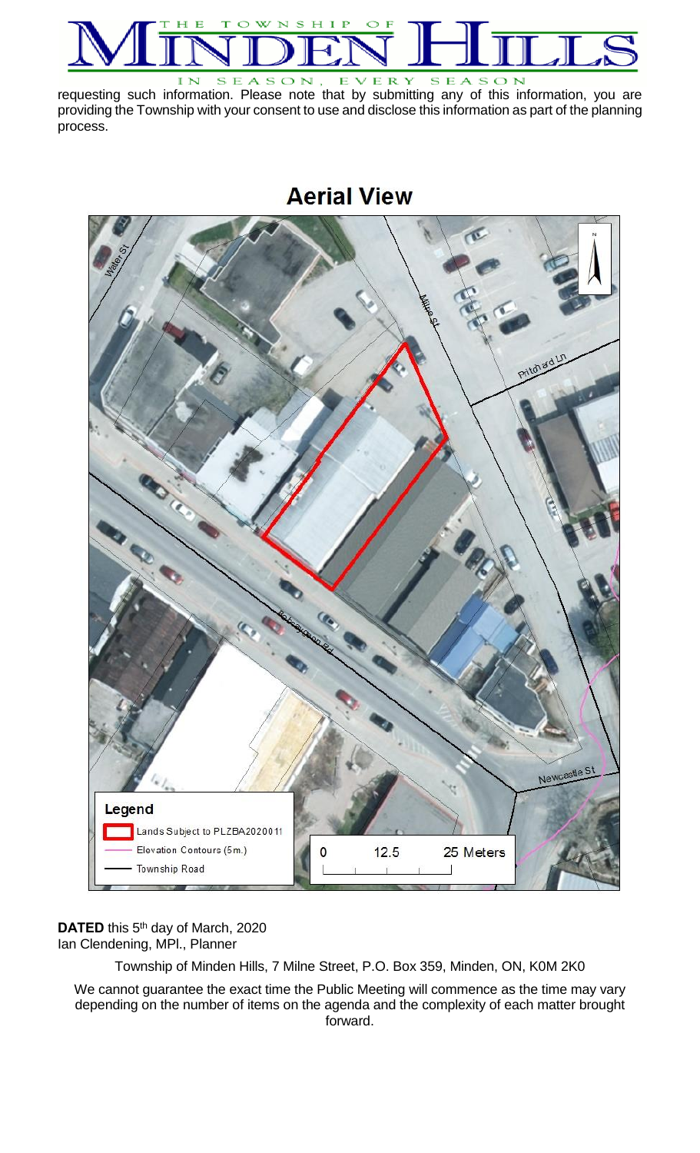

requesting such information. Please note that by submitting any of this information, you are providing the Township with your consent to use and disclose this information as part of the planning process.





DATED this 5<sup>th</sup> day of March, 2020 Ian Clendening, MPl., Planner

Township of Minden Hills, 7 Milne Street, P.O. Box 359, Minden, ON, K0M 2K0

We cannot guarantee the exact time the Public Meeting will commence as the time may vary depending on the number of items on the agenda and the complexity of each matter brought forward.